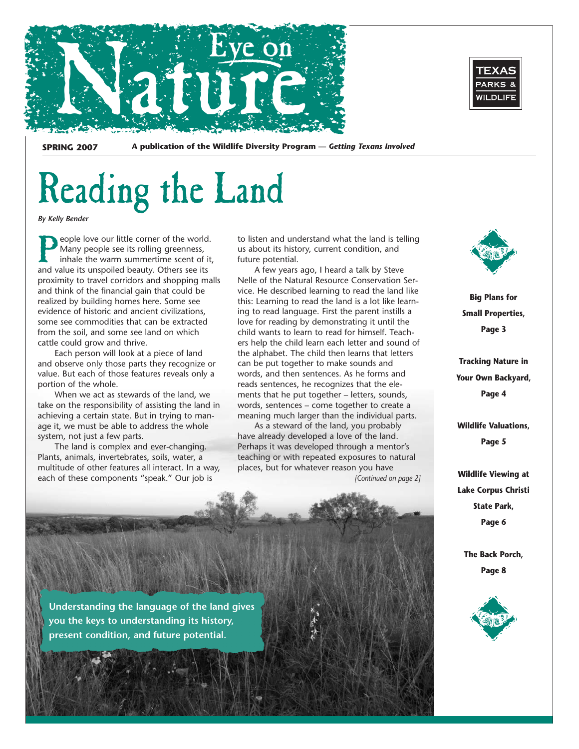

PARKS & WILDLIFE

**SPRING 2007 A publication of the Wildlife Diversity Program —** *Getting Texans Involved* 

# Reading the Land

*By Kelly Bender* 

eople love our little corner of the world. Many people see its rolling greenness, inhale the warm summertime scent of it, and value its unspoiled beauty. Others see its proximity to travel corridors and shopping malls and think of the financial gain that could be realized by building homes here. Some see evidence of historic and ancient civilizations, some see commodities that can be extracted from the soil, and some see land on which cattle could grow and thrive.

Each person will look at a piece of land and observe only those parts they recognize or value. But each of those features reveals only a portion of the whole.

When we act as stewards of the land, we take on the responsibility of assisting the land in achieving a certain state. But in trying to manage it, we must be able to address the whole system, not just a few parts.

The land is complex and ever-changing. Plants, animals, invertebrates, soils, water, a multitude of other features all interact. In a way, each of these components "speak." Our job is

to listen and understand what the land is telling us about its history, current condition, and future potential.

vice. He described learning to read the land like ers help the child learn each letter and sound of A few years ago, I heard a talk by Steve Nelle of the Natural Resource Conservation Serthis: Learning to read the land is a lot like learning to read language. First the parent instills a love for reading by demonstrating it until the child wants to learn to read for himself. Teachthe alphabet. The child then learns that letters can be put together to make sounds and words, and then sentences. As he forms and reads sentences, he recognizes that the elements that he put together – letters, sounds, words, sentences – come together to create a meaning much larger than the individual parts.

As a steward of the land, you probably have already developed a love of the land. Perhaps it was developed through a mentor's teaching or with repeated exposures to natural places, but for whatever reason you have

*[Continued on page 2]* 



**Big Plans for Small Properties, Page 3** 

**Tracking Nature in Your Own Backyard, Page 4** 

**Wildlife Valuations, Page 5** 

**Wildlife Viewing at Lake Corpus Christi State Park, Page 6** 

**The Back Porch, Page 8** 



**Understanding the language of the land gives you the keys to understanding its history, present condition, and future potential.**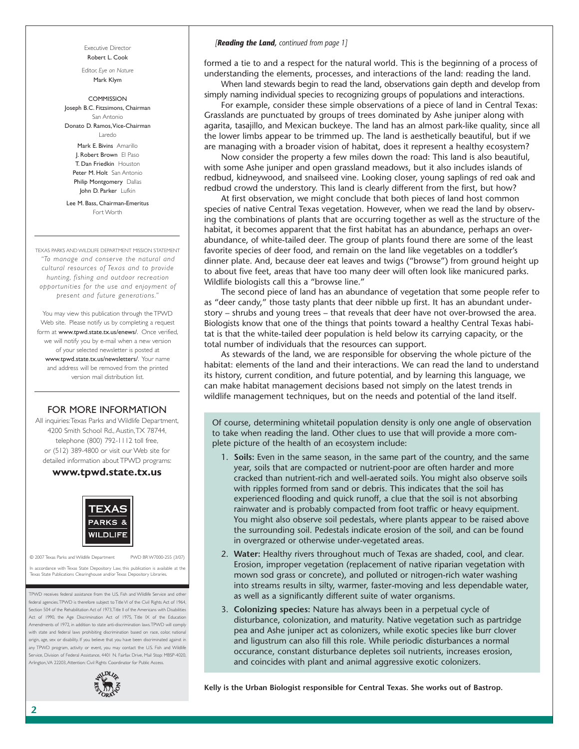Executive Director Robert L. Cook

Editor, *Eye on Nature*  Mark Klym

**COMMISSION** Joseph B.C. Fitzsimons, Chairman San Antonio Donato D. Ramos,Vice-Chairman Laredo

Mark **F. Bivins** Amarillo J. Robert Brown El Paso T. Dan Friedkin Houston Peter M. Holt San Antonio Philip Montgomery Dallas John D. Parker Lufkin

Lee M. Bass, Chairman-Emeritus Fort Worth

TEXAS PARKS AND WILDLIFE DEPARTMENT MISSION STATEMENT *"To manage and conser ve the natural and cultural resources of Texas and to provide hunting, fishing and outdoor recreation opportunities for the use and enjoyment of present and future generations."* 

You may view this publication through the TPWD Web site. Please notify us by completing a request form at www.tpwd.state.tx.us/enews/. Once verified, we will notify you by e-mail when a new version of your selected newsletter is posted at www.tpwd.state.tx.us/newsletters/. Your name and address will be removed from the printed version mail distribution list.

### FOR MORE INFORMATION

All inquiries:Texas Parks and Wildlife Department, 4200 Smith School Rd., Austin,TX 78744, telephone (800) 792-1112 toll free, or (512) 389-4800 or visit our Web site for detailed information about TPWD programs:

### **www.tpwd.state.tx.us**



© 2007 Texas Parks and Wildlife Department PWD BR W7000-255 (3/07)

In accordance with Texas State Depository Law, this publication is available at the Texas State Publications Clearinghouse and/or Texas Depository Libraries.

TPWD receives federal assistance from the U.S. Fish and Wildlife Service and other federal agencies.TPWD is therefore subject to Title VI of the Civil Rights Act of 1964, Section 504 of the Rehabilitation Act of 1973,Title II of the Americans with Disabilities Act of 1990, the Age Discrimination Act of 1975, Title IX of the Education Amendments of 1972, in addition to state anti-discrimination laws.TPWD will comply with state and federal laws prohibiting discrimination based on race, color, national origin, age, sex or disability. If you believe that you have been discriminated against in any TPWD program, activity or event, you may contact the U.S. Fish and Wildlife Service, Division of Federal Assistance, 4401 N. Fairfax Drive, Mail Stop: MBSP-4020, Arlington,VA 22203, Attention: Civil Rights Coordinator for Public Access.



#### *[Reading the Land, continued from page 1]*

formed a tie to and a respect for the natural world. This is the beginning of a process of understanding the elements, processes, and interactions of the land: reading the land.

When land stewards begin to read the land, observations gain depth and develop from simply naming individual species to recognizing groups of populations and interactions.

For example, consider these simple observations of a piece of land in Central Texas: Grasslands are punctuated by groups of trees dominated by Ashe juniper along with agarita, tasajillo, and Mexican buckeye. The land has an almost park-like quality, since all the lower limbs appear to be trimmed up. The land is aesthetically beautiful, but if we are managing with a broader vision of habitat, does it represent a healthy ecosystem?

Now consider the property a few miles down the road: This land is also beautiful, with some Ashe juniper and open grassland meadows, but it also includes islands of redbud, kidneywood, and snailseed vine. Looking closer, young saplings of red oak and redbud crowd the understory. This land is clearly different from the first, but how?

At first observation, we might conclude that both pieces of land host common species of native Central Texas vegetation. However, when we read the land by observing the combinations of plants that are occurring together as well as the structure of the habitat, it becomes apparent that the first habitat has an abundance, perhaps an overabundance, of white-tailed deer. The group of plants found there are some of the least favorite species of deer food, and remain on the land like vegetables on a toddler's dinner plate. And, because deer eat leaves and twigs ("browse") from ground height up to about five feet, areas that have too many deer will often look like manicured parks. Wildlife biologists call this a "browse line."

The second piece of land has an abundance of vegetation that some people refer to as "deer candy," those tasty plants that deer nibble up first. It has an abundant understory – shrubs and young trees – that reveals that deer have not over-browsed the area. Biologists know that one of the things that points toward a healthy Central Texas habitat is that the white-tailed deer population is held below its carrying capacity, or the total number of individuals that the resources can support.

As stewards of the land, we are responsible for observing the whole picture of the habitat: elements of the land and their interactions. We can read the land to understand its history, current condition, and future potential, and by learning this language, we can make habitat management decisions based not simply on the latest trends in wildlife management techniques, but on the needs and potential of the land itself.

Of course, determining whitetail population density is only one angle of observation to take when reading the land. Other clues to use that will provide a more complete picture of the health of an ecosystem include:

- 1. Soils: Even in the same season, in the same part of the country, and the same year, soils that are compacted or nutrient-poor are often harder and more cracked than nutrient-rich and well-aerated soils. You might also observe soils with ripples formed from sand or debris. This indicates that the soil has experienced flooding and quick runoff, a clue that the soil is not absorbing rainwater and is probably compacted from foot traffic or heavy equipment. You might also observe soil pedestals, where plants appear to be raised above the surrounding soil. Pedestals indicate erosion of the soil, and can be found in overgrazed or otherwise under-vegetated areas.
- 2. Water: Healthy rivers throughout much of Texas are shaded, cool, and clear. Erosion, improper vegetation (replacement of native riparian vegetation with mown sod grass or concrete), and polluted or nitrogen-rich water washing into streams results in silty, warmer, faster-moving and less dependable water, as well as a significantly different suite of water organisms.
- 3. **Colonizing species:** Nature has always been in a perpetual cycle of disturbance, colonization, and maturity. Native vegetation such as partridge pea and Ashe juniper act as colonizers, while exotic species like burr clover and ligustrum can also fill this role. While periodic disturbances a normal occurance, constant disturbance depletes soil nutrients, increases erosion, and coincides with plant and animal aggressive exotic colonizers.

**Kelly is the Urban Biologist responsible for Central Texas. She works out of Bastrop.**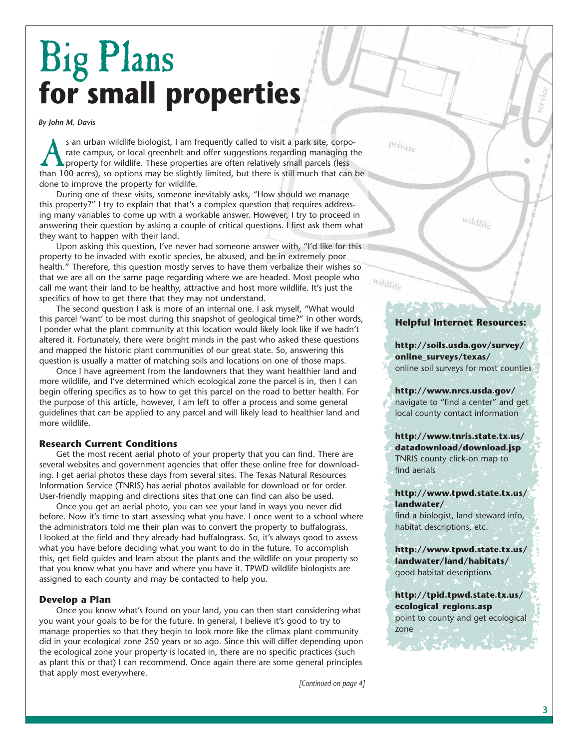## Big Plans **for small properties**

*By John M. Davis* 

s an urban wildlife biologist, I am frequently called to visit a park site, corpo-<br>rate campus, or local greenbelt and offer suggestions regarding managing the<br>property for wildlife. These properties are often relatively s rate campus, or local greenbelt and offer suggestions regarding managing the property for wildlife. These properties are often relatively small parcels (less than 100 acres), so options may be slightly limited, but there is still much that can be done to improve the property for wildlife.

During one of these visits, someone inevitably asks, "How should we manage this property?" I try to explain that that's a complex question that requires addressing many variables to come up with a workable answer. However, I try to proceed in answering their question by asking a couple of critical questions. I first ask them what they want to happen with their land.

Upon asking this question, I've never had someone answer with, "I'd like for this property to be invaded with exotic species, be abused, and be in extremely poor health." Therefore, this question mostly serves to have them verbalize their wishes so that we are all on the same page regarding where we are headed. Most people who call me want their land to be healthy, attractive and host more wildlife. It's just the specifics of how to get there that they may not understand.

The second question I ask is more of an internal one. I ask myself, "What would this parcel 'want' to be most during this snapshot of geological time?" In other words, I ponder what the plant community at this location would likely look like if we hadn't altered it. Fortunately, there were bright minds in the past who asked these questions and mapped the historic plant communities of our great state. So, answering this question is usually a matter of matching soils and locations on one of those maps.

Once I have agreement from the landowners that they want healthier land and more wildlife, and I've determined which ecological zone the parcel is in, then I can begin offering specifics as to how to get this parcel on the road to better health. For the purpose of this article, however, I am left to offer a process and some general guidelines that can be applied to any parcel and will likely lead to healthier land and more wildlife.

### **Research Current Conditions**

Get the most recent aerial photo of your property that you can find. There are several websites and government agencies that offer these online free for downloading. I get aerial photos these days from several sites. The Texas Natural Resources Information Service (TNRIS) has aerial photos available for download or for order. User-friendly mapping and directions sites that one can find can also be used.

Once you get an aerial photo, you can see your land in ways you never did before. Now it's time to start assessing what you have. I once went to a school where the administrators told me their plan was to convert the property to buffalograss. I looked at the field and they already had buffalograss. So, it's always good to assess what you have before deciding what you want to do in the future. To accomplish this, get field guides and learn about the plants and the wildlife on your property so that you know what you have and where you have it. TPWD wildlife biologists are assigned to each county and may be contacted to help you.

### **Develop a Plan**

Once you know what's found on your land, you can then start considering what you want your goals to be for the future. In general, I believe it's good to try to manage properties so that they begin to look more like the climax plant community did in your ecological zone 250 years or so ago. Since this will differ depending upon the ecological zone your property is located in, there are no specific practices (such as plant this or that) I can recommend. Once again there are some general principles that apply most everywhere.

*[Continued on page 4]* 

### **Helpful Internet Resources:**

wildlife

private

wildlife

**http://soils.usda.gov/survey/ online\_surveys/texas/**  online soil surveys for most counties

**http://www.nrcs.usda.gov/**  navigate to "find a center" and get local county contact information

**http://www.tnris.state.tx.us/ datadownload/download.jsp**  TNRIS county click-on map to find aerials

**http://www.tpwd.state.tx.us/ landwater/** 

find a biologist, land steward info, habitat descriptions, etc.

**http://www.tpwd.state.tx.us/ landwater/land/habitats/**  good habitat descriptions

**http://tpid.tpwd.state.tx.us/ ecological\_regions.asp**  point to county and get ecological zone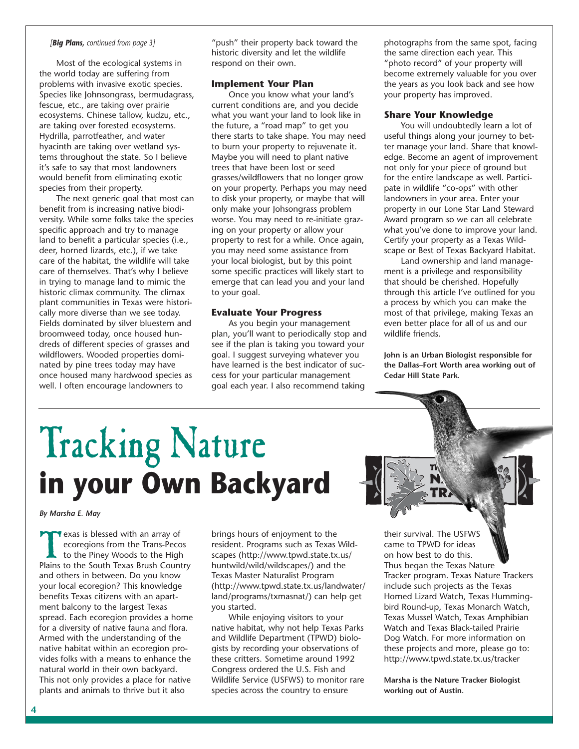### *[Big Plans, continued from page 3]*

Most of the ecological systems in the world today are suffering from problems with invasive exotic species. Species like Johnsongrass, bermudagrass, fescue, etc., are taking over prairie ecosystems. Chinese tallow, kudzu, etc., are taking over forested ecosystems. Hydrilla, parrotfeather, and water hyacinth are taking over wetland systems throughout the state. So I believe it's safe to say that most landowners would benefit from eliminating exotic species from their property.

The next generic goal that most can benefit from is increasing native biodiversity. While some folks take the species specific approach and try to manage land to benefit a particular species (i.e., deer, horned lizards, etc.), if we take care of the habitat, the wildlife will take care of themselves. That's why I believe in trying to manage land to mimic the historic climax community. The climax plant communities in Texas were historically more diverse than we see today. Fields dominated by silver bluestem and broomweed today, once housed hundreds of different species of grasses and wildflowers. Wooded properties dominated by pine trees today may have once housed many hardwood species as well. I often encourage landowners to

"push" their property back toward the historic diversity and let the wildlife respond on their own.

### **Implement Your Plan**

Once you know what your land's current conditions are, and you decide what you want your land to look like in the future, a "road map" to get you there starts to take shape. You may need to burn your property to rejuvenate it. Maybe you will need to plant native trees that have been lost or seed grasses/wildflowers that no longer grow on your property. Perhaps you may need to disk your property, or maybe that will only make your Johsongrass problem worse. You may need to re-initiate grazing on your property or allow your property to rest for a while. Once again, you may need some assistance from your local biologist, but by this point some specific practices will likely start to emerge that can lead you and your land to your goal.

### **Evaluate Your Progress**

As you begin your management plan, you'll want to periodically stop and see if the plan is taking you toward your goal. I suggest surveying whatever you have learned is the best indicator of success for your particular management goal each year. I also recommend taking

photographs from the same spot, facing the same direction each year. This "photo record" of your property will become extremely valuable for you over the years as you look back and see how your property has improved.

### **Share Your Knowledge**

You will undoubtedly learn a lot of useful things along your journey to better manage your land. Share that knowledge. Become an agent of improvement not only for your piece of ground but for the entire landscape as well. Participate in wildlife "co-ops" with other landowners in your area. Enter your property in our Lone Star Land Steward Award program so we can all celebrate what you've done to improve your land. Certify your property as a Texas Wildscape or Best of Texas Backyard Habitat.

Land ownership and land management is a privilege and responsibility that should be cherished. Hopefully through this article I've outlined for you a process by which you can make the most of that privilege, making Texas an even better place for all of us and our wildlife friends.

**John is an Urban Biologist responsible for the Dallas–Fort Worth area working out of Cedar Hill State Park.** 

## Tracking Nature **in your Own Backyard**

*By Marsha E. May* 

Texas is blessed with an array of<br>ecoregions from the Trans-Peco<br>to the Piney Woods to the High<br>Plains to the South Texas Brush Count ecoregions from the Trans-Pecos to the Piney Woods to the High Plains to the South Texas Brush Country and others in between. Do you know your local ecoregion? This knowledge benefits Texas citizens with an apartment balcony to the largest Texas spread. Each ecoregion provides a home for a diversity of native fauna and flora. Armed with the understanding of the native habitat within an ecoregion provides folks with a means to enhance the natural world in their own backyard. This not only provides a place for native plants and animals to thrive but it also

brings hours of enjoyment to the resident. Programs such as Texas Wildscapes (http://www.tpwd.state.tx.us/ huntwild/wild/wildscapes/) and the Texas Master Naturalist Program (http://www.tpwd.state.tx.us/landwater/ land/programs/txmasnat/) can help get you started.

While enjoying visitors to your native habitat, why not help Texas Parks and Wildlife Department (TPWD) biologists by recording your observations of these critters. Sometime around 1992 Congress ordered the U.S. Fish and Wildlife Service (USFWS) to monitor rare species across the country to ensure

their survival. The USFWS came to TPWD for ideas on how best to do this. Thus began the Texas Nature Tracker program. Texas Nature Trackers include such projects as the Texas Horned Lizard Watch, Texas Hummingbird Round-up, Texas Monarch Watch, Texas Mussel Watch, Texas Amphibian Watch and Texas Black-tailed Prairie Dog Watch. For more information on these projects and more, please go to: http://www.tpwd.state.tx.us/tracker

**Marsha is the Nature Tracker Biologist working out of Austin.**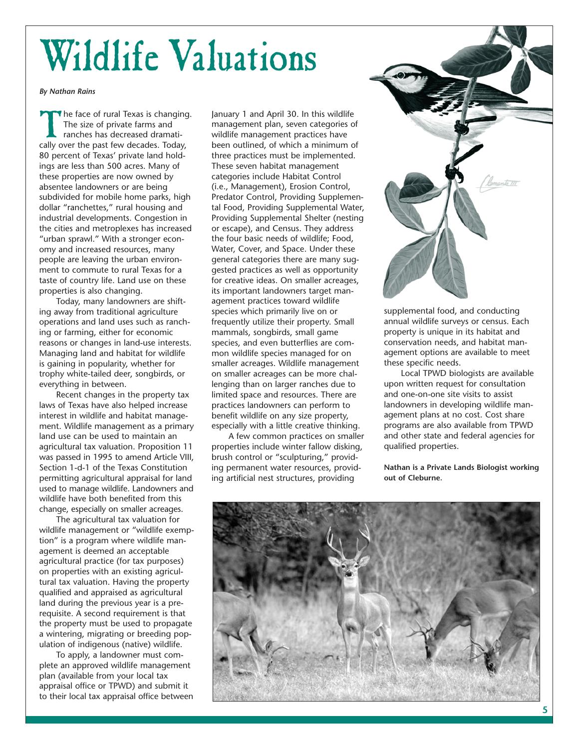# Wildlife Valuations

*By Nathan Rains* 

The face of rural Texas is changing. The size of private farms and ranches has decreased dramatically over the past few decades. Today, 80 percent of Texas' private land holdings are less than 500 acres. Many of these properties are now owned by absentee landowners or are being subdivided for mobile home parks, high dollar "ranchettes," rural housing and industrial developments. Congestion in the cities and metroplexes has increased "urban sprawl." With a stronger economy and increased resources, many people are leaving the urban environment to commute to rural Texas for a taste of country life. Land use on these properties is also changing.

Today, many landowners are shifting away from traditional agriculture operations and land uses such as ranching or farming, either for economic reasons or changes in land-use interests. Managing land and habitat for wildlife is gaining in popularity, whether for trophy white-tailed deer, songbirds, or everything in between.

Recent changes in the property tax laws of Texas have also helped increase interest in wildlife and habitat management. Wildlife management as a primary land use can be used to maintain an agricultural tax valuation. Proposition 11 was passed in 1995 to amend Article VIII, Section 1-d-1 of the Texas Constitution permitting agricultural appraisal for land used to manage wildlife. Landowners and wildlife have both benefited from this change, especially on smaller acreages.

The agricultural tax valuation for wildlife management or "wildlife exemption" is a program where wildlife management is deemed an acceptable agricultural practice (for tax purposes) on properties with an existing agricultural tax valuation. Having the property qualified and appraised as agricultural land during the previous year is a prerequisite. A second requirement is that the property must be used to propagate a wintering, migrating or breeding population of indigenous (native) wildlife.

To apply, a landowner must complete an approved wildlife management plan (available from your local tax appraisal office or TPWD) and submit it to their local tax appraisal office between January 1 and April 30. In this wildlife management plan, seven categories of wildlife management practices have been outlined, of which a minimum of three practices must be implemented. These seven habitat management categories include Habitat Control (i.e., Management), Erosion Control, Predator Control, Providing Supplemental Food, Providing Supplemental Water, Providing Supplemental Shelter (nesting or escape), and Census. They address the four basic needs of wildlife; Food, Water, Cover, and Space. Under these general categories there are many suggested practices as well as opportunity for creative ideas. On smaller acreages, its important landowners target management practices toward wildlife species which primarily live on or frequently utilize their property. Small mammals, songbirds, small game species, and even butterflies are common wildlife species managed for on smaller acreages. Wildlife management on smaller acreages can be more challenging than on larger ranches due to limited space and resources. There are practices landowners can perform to benefit wildlife on any size property, especially with a little creative thinking.

A few common practices on smaller properties include winter fallow disking, brush control or "sculpturing," providing permanent water resources, providing artificial nest structures, providing



supplemental food, and conducting annual wildlife surveys or census. Each property is unique in its habitat and conservation needs, and habitat management options are available to meet these specific needs.

Local TPWD biologists are available upon written request for consultation and one-on-one site visits to assist landowners in developing wildlife management plans at no cost. Cost share programs are also available from TPWD and other state and federal agencies for qualified properties.

**Nathan is a Private Lands Biologist working out of Cleburne.** 

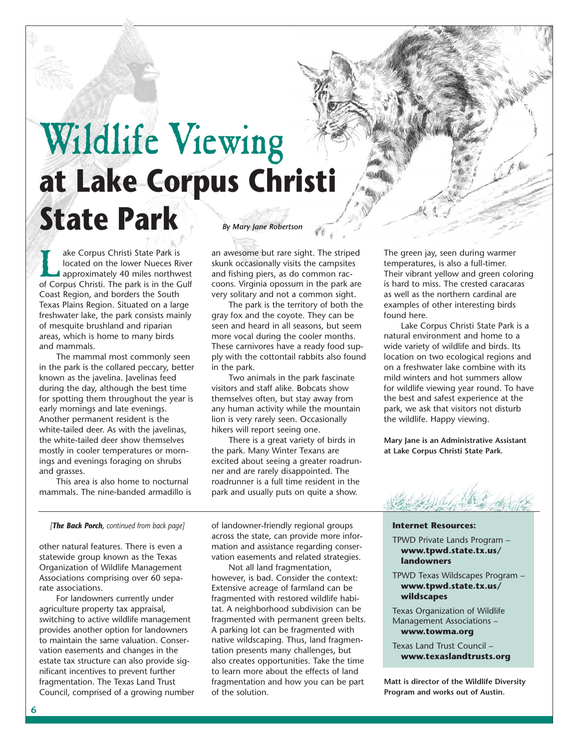## Wildlife Viewing **at Lake Corpus Christi State Park** *By Mary Jane Robertson*

ake Corpus Christi State Park is<br>located on the lower Nueces River<br>approximately 40 miles northword Corpus Christi The park is in the G located on the lower Nueces River approximately 40 miles northwest of Corpus Christi. The park is in the Gulf Coast Region, and borders the South Texas Plains Region. Situated on a large freshwater lake, the park consists mainly of mesquite brushland and riparian areas, which is home to many birds and mammals.

The mammal most commonly seen in the park is the collared peccary, better known as the javelina. Javelinas feed during the day, although the best time for spotting them throughout the year is early mornings and late evenings. Another permanent resident is the white-tailed deer. As with the javelinas, the white-tailed deer show themselves mostly in cooler temperatures or mornings and evenings foraging on shrubs and grasses.

This area is also home to nocturnal mammals. The nine-banded armadillo is an awesome but rare sight. The striped skunk occasionally visits the campsites and fishing piers, as do common raccoons. Virginia opossum in the park are very solitary and not a common sight.

The park is the territory of both the gray fox and the coyote. They can be seen and heard in all seasons, but seem more vocal during the cooler months. These carnivores have a ready food supply with the cottontail rabbits also found in the park.

Two animals in the park fascinate visitors and staff alike. Bobcats show themselves often, but stay away from any human activity while the mountain lion is very rarely seen. Occasionally hikers will report seeing one.

There is a great variety of birds in the park. Many Winter Texans are excited about seeing a greater roadrunner and are rarely disappointed. The roadrunner is a full time resident in the park and usually puts on quite a show.

The green jay, seen during warmer temperatures, is also a full-timer. Their vibrant yellow and green coloring is hard to miss. The crested caracaras as well as the northern cardinal are examples of other interesting birds found here.

Lake Corpus Christi State Park is a natural environment and home to a wide variety of wildlife and birds. Its location on two ecological regions and on a freshwater lake combine with its mild winters and hot summers allow for wildlife viewing year round. To have the best and safest experience at the park, we ask that visitors not disturb the wildlife. Happy viewing.

**Mary Jane is an Administrative Assistant at Lake Corpus Christi State Park.** 



### *[The Back Porch, continued from back page]*

other natural features. There is even a statewide group known as the Texas Organization of Wildlife Management Associations comprising over 60 separate associations.

For landowners currently under agriculture property tax appraisal, switching to active wildlife management provides another option for landowners to maintain the same valuation. Conservation easements and changes in the estate tax structure can also provide significant incentives to prevent further fragmentation. The Texas Land Trust Council, comprised of a growing number of landowner-friendly regional groups across the state, can provide more information and assistance regarding conservation easements and related strategies.

Not all land fragmentation, however, is bad. Consider the context: Extensive acreage of farmland can be fragmented with restored wildlife habitat. A neighborhood subdivision can be fragmented with permanent green belts. A parking lot can be fragmented with native wildscaping. Thus, land fragmentation presents many challenges, but also creates opportunities. Take the time to learn more about the effects of land fragmentation and how you can be part of the solution.

### **Internet Resources:**

TPWD Private Lands Program – **www.tpwd.state.tx.us/ landowners** 

TPWD Texas Wildscapes Program – **www.tpwd.state.tx.us/ wildscapes** 

Texas Organization of Wildlife Management Associations – **www.towma.org** 

Texas Land Trust Council – **www.texaslandtrusts.org** 

**Matt is director of the Wildlife Diversity Program and works out of Austin.**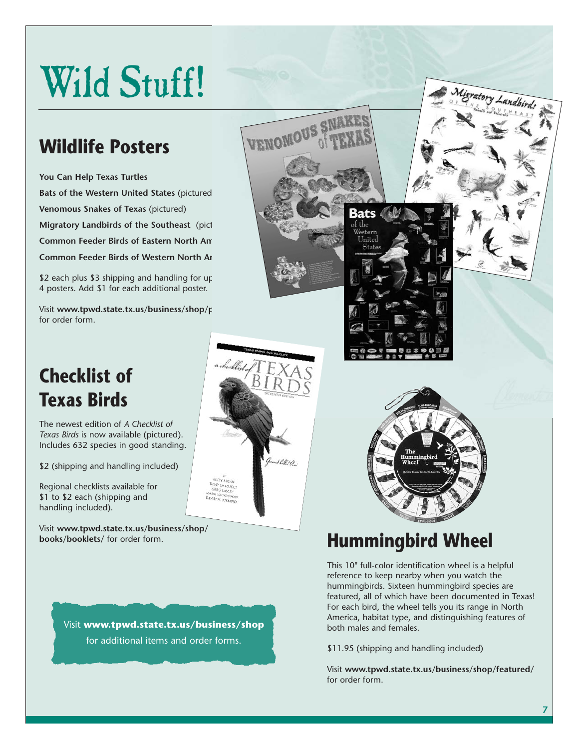# Wild Stuff!

VENOMOUS S

uusa

### **Wildlife Posters**

**You Can Help Texas Turtles Bats of the Western United States** (pictured) **Venomous Snakes of Texas** (pictured) **Migratory Landbirds of the Southeast** (pict **Common Feeder Birds of Eastern North America Common Feeder Birds of Western North Arabic** 

 $$2$  each plus  $$3$  shipping and handling for up 4 posters. Add \$1 for each additional poster.

Visit www.tpwd.state.tx.us/business/shop/p for order form.

## **Checklist of Texas Birds**

The newest edition of *A Checklist of Texas Birds* is now available (pictured). Includes 632 species in good standing.

\$2 (shipping and handling included)

Regional checklists available for \$1 to \$2 each (shipping and handling included).

Visit **www.tpwd.state.tx.us/business/shop/** 





## books/booklets/ for order form.

This 10" full-color identification wheel is a helpful reference to keep nearby when you watch the hummingbirds. Sixteen hummingbird species are featured, all of which have been documented in Texas! For each bird, the wheel tells you its range in North America, habitat type, and distinguishing features of both males and females.

\$11.95 (shipping and handling included)

Visit **www.tpwd.state.tx.us/business/shop/featured/**  for order form.

tory Landbirds